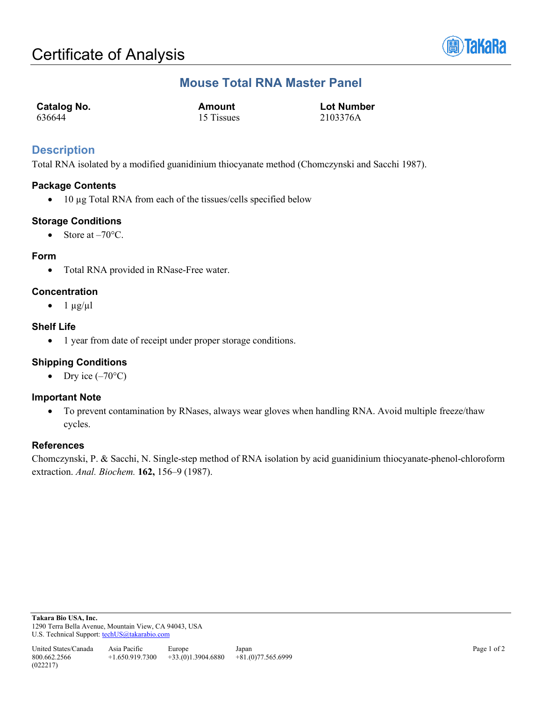

# **Mouse Total RNA Master Panel**

| <b>Catalog No.</b> | Amount     | <b>Lot Number</b> |
|--------------------|------------|-------------------|
| 636644             | 15 Tissues | 2103376A          |

### **Description**

Total RNA isolated by a modified guanidinium thiocyanate method (Chomczynski and Sacchi 1987).

#### **Package Contents**

• 10 µg Total RNA from each of the tissues/cells specified below

#### **Storage Conditions**

• Store at  $-70^{\circ}$ C.

#### **Form**

• Total RNA provided in RNase-Free water.

#### **Concentration**

 $\bullet$  1  $\mu$ g/ $\mu$ l

#### **Shelf Life**

• 1 year from date of receipt under proper storage conditions.

#### **Shipping Conditions**

• Dry ice  $(-70^{\circ}C)$ 

#### **Important Note**

• To prevent contamination by RNases, always wear gloves when handling RNA. Avoid multiple freeze/thaw cycles.

#### **References**

Chomczynski, P. & Sacchi, N. Single-step method of RNA isolation by acid guanidinium thiocyanate-phenol-chloroform extraction. *Anal. Biochem.* **162,** 156–9 (1987).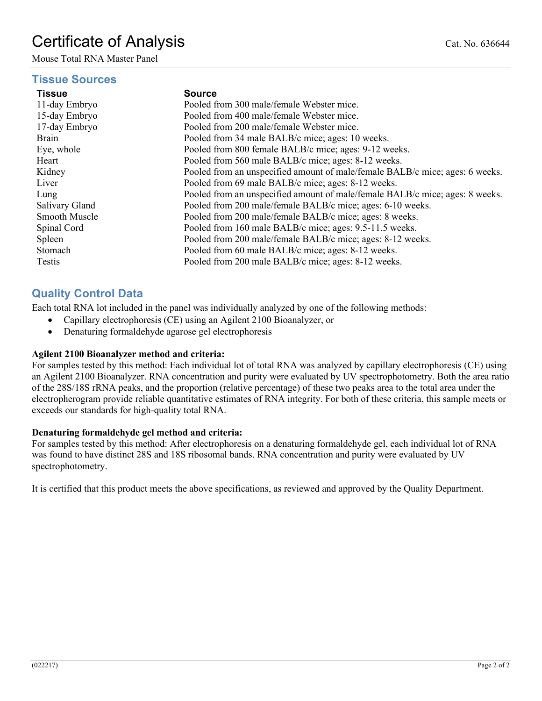# Certificate of Analysis Cat. No. 636644

Mouse Total RNA Master Panel

#### **Tissue Sources**

#### **Tissue Source**

| 11-day Embryo  | Pooled from 300 male/female Webster mice.                                    |
|----------------|------------------------------------------------------------------------------|
| 15-day Embryo  | Pooled from 400 male/female Webster mice.                                    |
| 17-day Embryo  | Pooled from 200 male/female Webster mice.                                    |
| Brain          | Pooled from 34 male BALB/c mice; ages: 10 weeks.                             |
| Eye, whole     | Pooled from 800 female BALB/c mice; ages: 9-12 weeks.                        |
| Heart          | Pooled from 560 male BALB/c mice; ages: 8-12 weeks.                          |
| Kidney         | Pooled from an unspecified amount of male/female BALB/c mice; ages: 6 weeks. |
| Liver          | Pooled from 69 male BALB/c mice; ages: 8-12 weeks.                           |
| Lung           | Pooled from an unspecified amount of male/female BALB/c mice; ages: 8 weeks. |
| Salivary Gland | Pooled from 200 male/female BALB/c mice; ages: 6-10 weeks.                   |
| Smooth Muscle  | Pooled from 200 male/female BALB/c mice; ages: 8 weeks.                      |
| Spinal Cord    | Pooled from 160 male BALB/c mice; ages: 9.5-11.5 weeks.                      |
| Spleen         | Pooled from 200 male/female BALB/c mice; ages: 8-12 weeks.                   |
| Stomach        | Pooled from 60 male BALB/c mice; ages: 8-12 weeks.                           |
| Testis         | Pooled from 200 male BALB/c mice; ages: 8-12 weeks.                          |

## **Quality Control Data**

Each total RNA lot included in the panel was individually analyzed by one of the following methods:

- Capillary electrophoresis (CE) using an Agilent 2100 Bioanalyzer, or
- Denaturing formaldehyde agarose gel electrophoresis

#### **Agilent 2100 Bioanalyzer method and criteria:**

For samples tested by this method: Each individual lot of total RNA was analyzed by capillary electrophoresis (CE) using an Agilent 2100 Bioanalyzer. RNA concentration and purity were evaluated by UV spectrophotometry. Both the area ratio of the 28S/18S rRNA peaks, and the proportion (relative percentage) of these two peaks area to the total area under the electropherogram provide reliable quantitative estimates of RNA integrity. For both of these criteria, this sample meets or exceeds our standards for high-quality total RNA.

#### **Denaturing formaldehyde gel method and criteria:**

For samples tested by this method: After electrophoresis on a denaturing formaldehyde gel, each individual lot of RNA was found to have distinct 28S and 18S ribosomal bands. RNA concentration and purity were evaluated by UV spectrophotometry.

It is certified that this product meets the above specifications, as reviewed and approved by the Quality Department.